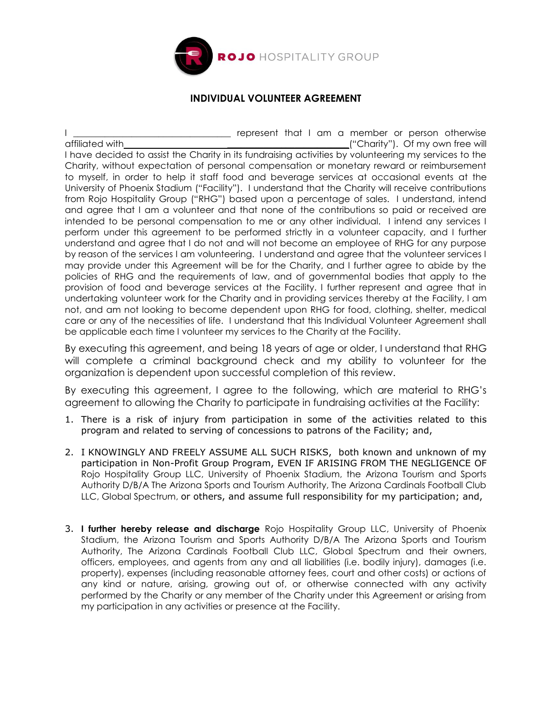

## **INDIVIDUAL VOLUNTEER AGREEMENT**

I \_\_\_\_\_\_\_\_\_\_\_\_\_\_\_\_\_\_\_\_\_\_\_\_\_\_\_\_\_\_\_\_\_ represent that I am a member or person otherwise affiliated with<br> **a** ("Charity"). Of my own free will I have decided to assist the Charity in its fundraising activities by volunteering my services to the Charity, without expectation of personal compensation or monetary reward or reimbursement to myself, in order to help it staff food and beverage services at occasional events at the University of Phoenix Stadium ("Facility"). I understand that the Charity will receive contributions from Rojo Hospitality Group ("RHG") based upon a percentage of sales. I understand, intend and agree that I am a volunteer and that none of the contributions so paid or received are intended to be personal compensation to me or any other individual. I intend any services I perform under this agreement to be performed strictly in a volunteer capacity, and I further understand and agree that I do not and will not become an employee of RHG for any purpose by reason of the services I am volunteering. I understand and agree that the volunteer services I may provide under this Agreement will be for the Charity, and I further agree to abide by the policies of RHG and the requirements of law, and of governmental bodies that apply to the provision of food and beverage services at the Facility. I further represent and agree that in undertaking volunteer work for the Charity and in providing services thereby at the Facility, I am not, and am not looking to become dependent upon RHG for food, clothing, shelter, medical care or any of the necessities of life. I understand that this Individual Volunteer Agreement shall be applicable each time I volunteer my services to the Charity at the Facility.

By executing this agreement, and being 18 years of age or older, I understand that RHG will complete a criminal background check and my ability to volunteer for the organization is dependent upon successful completion of this review.

By executing this agreement, I agree to the following, which are material to RHG's agreement to allowing the Charity to participate in fundraising activities at the Facility:

- 1. There is a risk of injury from participation in some of the activities related to this program and related to serving of concessions to patrons of the Facility; and,
- 2. I KNOWINGLY AND FREELY ASSUME ALL SUCH RISKS, both known and unknown of my participation in Non-Profit Group Program, EVEN IF ARISING FROM THE NEGLIGENCE OF Rojo Hospitality Group LLC, University of Phoenix Stadium, the Arizona Tourism and Sports Authority D/B/A The Arizona Sports and Tourism Authority, The Arizona Cardinals Football Club LLC, Global Spectrum, or others, and assume full responsibility for my participation; and,
- 3. **I further hereby release and discharge** Rojo Hospitality Group LLC, University of Phoenix Stadium, the Arizona Tourism and Sports Authority D/B/A The Arizona Sports and Tourism Authority, The Arizona Cardinals Football Club LLC, Global Spectrum and their owners, officers, employees, and agents from any and all liabilities (i.e. bodily injury), damages (i.e. property), expenses (including reasonable attorney fees, court and other costs) or actions of any kind or nature, arising, growing out of, or otherwise connected with any activity performed by the Charity or any member of the Charity under this Agreement or arising from my participation in any activities or presence at the Facility.